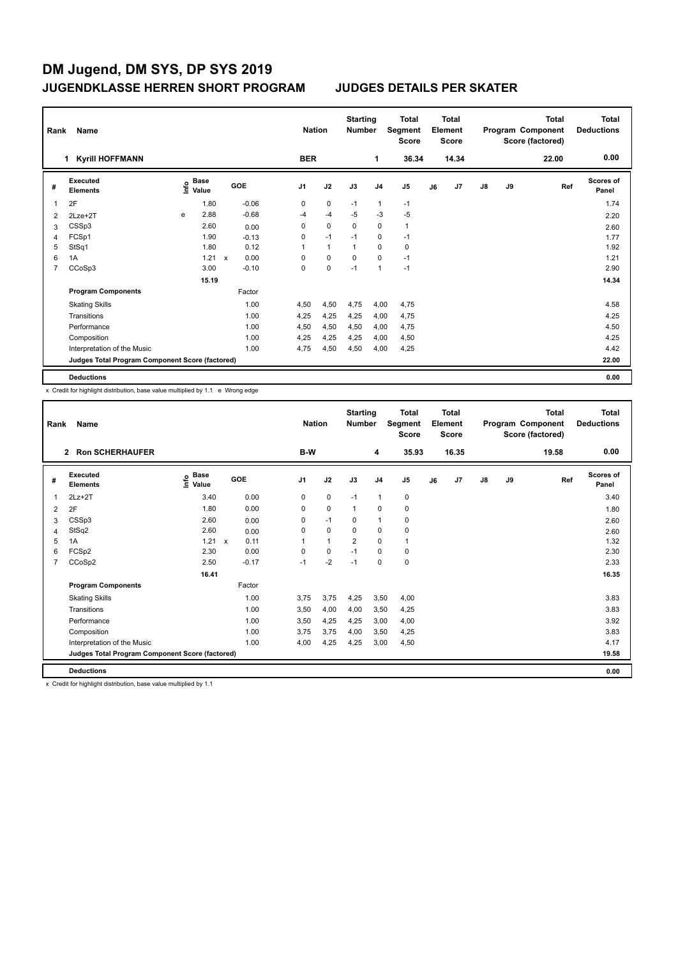| Rank<br>Name |                                                 |   |                                  |             |         |                | <b>Nation</b> |                |                | <b>Total</b><br>Segment<br><b>Score</b> | <b>Total</b><br>Element<br><b>Score</b> |       |               |    | <b>Total</b><br>Program Component<br>Score (factored) | Total<br><b>Deductions</b> |
|--------------|-------------------------------------------------|---|----------------------------------|-------------|---------|----------------|---------------|----------------|----------------|-----------------------------------------|-----------------------------------------|-------|---------------|----|-------------------------------------------------------|----------------------------|
|              | <b>Kyrill HOFFMANN</b>                          |   |                                  |             |         | <b>BER</b>     |               |                | 1              | 36.34                                   |                                         | 14.34 |               |    | 22.00                                                 | 0.00                       |
| #            | <b>Executed</b><br><b>Elements</b>              |   | <b>Base</b><br>e Base<br>⊆ Value |             | GOE     | J <sub>1</sub> | J2            | J3             | J <sub>4</sub> | J <sub>5</sub>                          | J6                                      | J7    | $\mathsf{J}8$ | J9 | Ref                                                   | <b>Scores of</b><br>Panel  |
| 1            | 2F                                              |   | 1.80                             |             | $-0.06$ | 0              | $\mathbf 0$   | $-1$           | $\mathbf{1}$   | $-1$                                    |                                         |       |               |    |                                                       | 1.74                       |
| 2            | $2$ Lze $+2$ T                                  | e | 2.88                             |             | $-0.68$ | $-4$           | $-4$          | $-5$           | $-3$           | $-5$                                    |                                         |       |               |    |                                                       | 2.20                       |
| 3            | CSSp3                                           |   | 2.60                             |             | 0.00    | 0              | $\mathbf 0$   | 0              | $\mathbf 0$    | $\mathbf{1}$                            |                                         |       |               |    |                                                       | 2.60                       |
| 4            | FCSp1                                           |   | 1.90                             |             | $-0.13$ | 0              | $-1$          | $-1$           | $\mathbf 0$    | $-1$                                    |                                         |       |               |    |                                                       | 1.77                       |
| 5            | StSq1                                           |   | 1.80                             |             | 0.12    | 1              | $\mathbf{1}$  | $\overline{1}$ | $\pmb{0}$      | $\pmb{0}$                               |                                         |       |               |    |                                                       | 1.92                       |
| 6            | 1A                                              |   | 1.21                             | $\mathbf x$ | 0.00    | 0              | $\mathbf 0$   | $\mathbf 0$    | $\mathbf 0$    | $-1$                                    |                                         |       |               |    |                                                       | 1.21                       |
| 7            | CCoSp3                                          |   | 3.00                             |             | $-0.10$ | 0              | $\pmb{0}$     | $-1$           | $\overline{1}$ | $-1$                                    |                                         |       |               |    |                                                       | 2.90                       |
|              |                                                 |   | 15.19                            |             |         |                |               |                |                |                                         |                                         |       |               |    |                                                       | 14.34                      |
|              | <b>Program Components</b>                       |   |                                  |             | Factor  |                |               |                |                |                                         |                                         |       |               |    |                                                       |                            |
|              | <b>Skating Skills</b>                           |   |                                  |             | 1.00    | 4,50           | 4,50          | 4,75           | 4,00           | 4,75                                    |                                         |       |               |    |                                                       | 4.58                       |
|              | Transitions                                     |   |                                  |             | 1.00    | 4,25           | 4,25          | 4,25           | 4,00           | 4,75                                    |                                         |       |               |    |                                                       | 4.25                       |
|              | Performance                                     |   |                                  |             | 1.00    | 4,50           | 4,50          | 4,50           | 4,00           | 4,75                                    |                                         |       |               |    |                                                       | 4.50                       |
|              | Composition                                     |   |                                  |             | 1.00    | 4,25           | 4,25          | 4,25           | 4,00           | 4,50                                    |                                         |       |               |    |                                                       | 4.25                       |
|              | Interpretation of the Music                     |   |                                  |             | 1.00    | 4,75           | 4,50          | 4,50           | 4,00           | 4,25                                    |                                         |       |               |    |                                                       | 4.42                       |
|              | Judges Total Program Component Score (factored) |   |                                  |             |         |                |               |                |                |                                         |                                         |       |               |    |                                                       | 22.00                      |
|              | <b>Deductions</b>                               |   |                                  |             |         |                |               |                |                |                                         |                                         |       |               |    |                                                       | 0.00                       |

x Credit for highlight distribution, base value multiplied by 1.1 e Wrong edge

| Name<br>Rank   |                                                 |                                           |              |         |                |     | <b>Nation</b>  |                |                | <b>Total</b><br>Segment<br><b>Score</b> | Total<br>Element<br><b>Score</b> |                |               |    | <b>Total</b><br>Program Component<br>Score (factored) | <b>Total</b><br><b>Deductions</b> |
|----------------|-------------------------------------------------|-------------------------------------------|--------------|---------|----------------|-----|----------------|----------------|----------------|-----------------------------------------|----------------------------------|----------------|---------------|----|-------------------------------------------------------|-----------------------------------|
|                | <b>Ron SCHERHAUFER</b><br>$\overline{2}$        |                                           |              |         |                | B-W |                |                | 4              | 35.93                                   |                                  | 16.35          |               |    | 19.58                                                 | 0.00                              |
| #              | Executed<br><b>Elements</b>                     | $\frac{e}{E}$ Base<br>$\frac{E}{E}$ Value |              | GOE     | J <sub>1</sub> |     | J2             | J3             | J <sub>4</sub> | J <sub>5</sub>                          | J6                               | J <sub>7</sub> | $\mathsf{J}8$ | J9 | Ref                                                   | <b>Scores of</b><br>Panel         |
| $\mathbf{1}$   | $2Lz+2T$                                        | 3.40                                      |              | 0.00    | 0              |     | $\mathbf 0$    | $-1$           | $\mathbf{1}$   | $\pmb{0}$                               |                                  |                |               |    |                                                       | 3.40                              |
| $\overline{2}$ | 2F                                              | 1.80                                      |              | 0.00    | 0              |     | 0              | $\mathbf{1}$   | 0              | 0                                       |                                  |                |               |    |                                                       | 1.80                              |
| 3              | CSSp3                                           | 2.60                                      |              | 0.00    | 0              |     | $-1$           | 0              | $\mathbf{1}$   | $\pmb{0}$                               |                                  |                |               |    |                                                       | 2.60                              |
| 4              | StSq2                                           | 2.60                                      |              | 0.00    | 0              |     | $\mathbf 0$    | 0              | $\mathbf 0$    | $\pmb{0}$                               |                                  |                |               |    |                                                       | 2.60                              |
| 5              | 1A                                              | 1.21                                      | $\mathsf{x}$ | 0.11    |                |     | $\overline{1}$ | $\overline{2}$ | $\mathbf 0$    | $\mathbf{1}$                            |                                  |                |               |    |                                                       | 1.32                              |
| 6              | FCSp2                                           | 2.30                                      |              | 0.00    | 0              |     | 0              | $-1$           | 0              | 0                                       |                                  |                |               |    |                                                       | 2.30                              |
| $\overline{7}$ | CCoSp2                                          | 2.50                                      |              | $-0.17$ | $-1$           |     | $-2$           | $-1$           | $\Omega$       | $\mathbf 0$                             |                                  |                |               |    |                                                       | 2.33                              |
|                |                                                 | 16.41                                     |              |         |                |     |                |                |                |                                         |                                  |                |               |    |                                                       | 16.35                             |
|                | <b>Program Components</b>                       |                                           |              | Factor  |                |     |                |                |                |                                         |                                  |                |               |    |                                                       |                                   |
|                | <b>Skating Skills</b>                           |                                           |              | 1.00    | 3.75           |     | 3,75           | 4,25           | 3,50           | 4,00                                    |                                  |                |               |    |                                                       | 3.83                              |
|                | Transitions                                     |                                           |              | 1.00    | 3,50           |     | 4,00           | 4,00           | 3,50           | 4,25                                    |                                  |                |               |    |                                                       | 3.83                              |
|                | Performance                                     |                                           |              | 1.00    | 3,50           |     | 4,25           | 4,25           | 3,00           | 4,00                                    |                                  |                |               |    |                                                       | 3.92                              |
|                | Composition                                     |                                           |              | 1.00    | 3.75           |     | 3,75           | 4,00           | 3,50           | 4,25                                    |                                  |                |               |    |                                                       | 3.83                              |
|                | Interpretation of the Music                     |                                           |              | 1.00    | 4,00           |     | 4,25           | 4,25           | 3,00           | 4,50                                    |                                  |                |               |    |                                                       | 4.17                              |
|                | Judges Total Program Component Score (factored) |                                           |              |         |                |     |                |                |                |                                         |                                  |                |               |    |                                                       | 19.58                             |
|                | <b>Deductions</b>                               |                                           |              |         |                |     |                |                |                |                                         |                                  |                |               |    |                                                       | 0.00                              |

x Credit for highlight distribution, base value multiplied by 1.1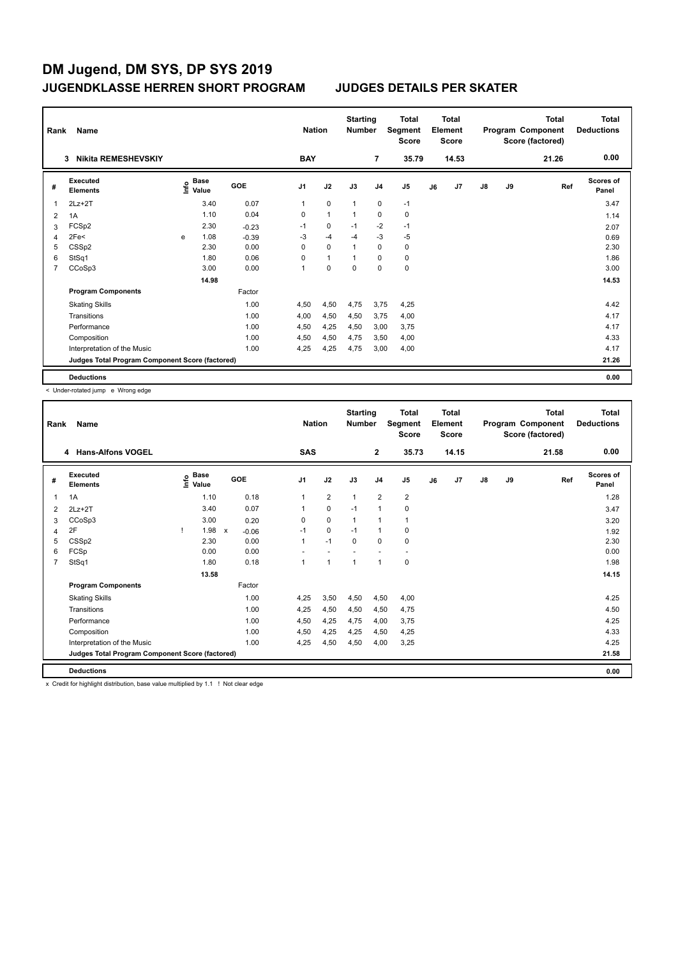| Rank | Name                                            |   | <b>Nation</b>                    |            |                | <b>Starting</b><br><b>Number</b> | <b>Total</b><br>Segment<br><b>Score</b> | <b>Total</b><br>Element<br><b>Score</b> |           |    |       | <b>Total</b><br>Program Component<br>Score (factored) | Total<br><b>Deductions</b> |       |                           |
|------|-------------------------------------------------|---|----------------------------------|------------|----------------|----------------------------------|-----------------------------------------|-----------------------------------------|-----------|----|-------|-------------------------------------------------------|----------------------------|-------|---------------------------|
|      | <b>Nikita REMESHEVSKIY</b><br>3                 |   |                                  |            | <b>BAY</b>     |                                  |                                         | 7                                       | 35.79     |    | 14.53 |                                                       |                            | 21.26 | 0.00                      |
| #    | <b>Executed</b><br><b>Elements</b>              |   | <b>Base</b><br>e Base<br>⊆ Value | <b>GOE</b> | J <sub>1</sub> | J2                               | J3                                      | J <sub>4</sub>                          | J5        | J6 | J7    | $\mathsf{J}8$                                         | J9                         | Ref   | <b>Scores of</b><br>Panel |
| 1    | $2Lz+2T$                                        |   | 3.40                             | 0.07       | 1              | $\mathbf 0$                      | $\overline{1}$                          | $\mathbf 0$                             | $-1$      |    |       |                                                       |                            |       | 3.47                      |
| 2    | 1A                                              |   | 1.10                             | 0.04       | 0              | $\mathbf{1}$                     | 1                                       | $\mathbf 0$                             | $\pmb{0}$ |    |       |                                                       |                            |       | 1.14                      |
| 3    | FCSp2                                           |   | 2.30                             | $-0.23$    | $-1$           | 0                                | $-1$                                    | $-2$                                    | $-1$      |    |       |                                                       |                            |       | 2.07                      |
| 4    | 2Fe <sub>5</sub>                                | e | 1.08                             | $-0.39$    | $-3$           | $-4$                             | $-4$                                    | $-3$                                    | $-5$      |    |       |                                                       |                            |       | 0.69                      |
| 5    | CSSp2                                           |   | 2.30                             | 0.00       | 0              | $\mathbf 0$                      | 1                                       | $\mathbf 0$                             | $\pmb{0}$ |    |       |                                                       |                            |       | 2.30                      |
| 6    | StSq1                                           |   | 1.80                             | 0.06       | 0              | $\mathbf{1}$                     |                                         | 0                                       | 0         |    |       |                                                       |                            |       | 1.86                      |
| 7    | CCoSp3                                          |   | 3.00                             | 0.00       | 1              | $\mathbf 0$                      | $\mathbf 0$                             | $\mathbf 0$                             | $\pmb{0}$ |    |       |                                                       |                            |       | 3.00                      |
|      |                                                 |   | 14.98                            |            |                |                                  |                                         |                                         |           |    |       |                                                       |                            |       | 14.53                     |
|      | <b>Program Components</b>                       |   |                                  | Factor     |                |                                  |                                         |                                         |           |    |       |                                                       |                            |       |                           |
|      | <b>Skating Skills</b>                           |   |                                  | 1.00       | 4,50           | 4,50                             | 4,75                                    | 3.75                                    | 4,25      |    |       |                                                       |                            |       | 4.42                      |
|      | Transitions                                     |   |                                  | 1.00       | 4,00           | 4,50                             | 4,50                                    | 3,75                                    | 4,00      |    |       |                                                       |                            |       | 4.17                      |
|      | Performance                                     |   |                                  | 1.00       | 4,50           | 4,25                             | 4,50                                    | 3,00                                    | 3,75      |    |       |                                                       |                            |       | 4.17                      |
|      | Composition                                     |   |                                  | 1.00       | 4,50           | 4,50                             | 4,75                                    | 3,50                                    | 4,00      |    |       |                                                       |                            |       | 4.33                      |
|      | Interpretation of the Music                     |   |                                  | 1.00       | 4,25           | 4,25                             | 4,75                                    | 3,00                                    | 4,00      |    |       |                                                       |                            |       | 4.17                      |
|      | Judges Total Program Component Score (factored) |   |                                  |            |                |                                  |                                         |                                         |           |    |       |                                                       |                            |       | 21.26                     |
|      | <b>Deductions</b>                               |   |                                  |            |                |                                  |                                         |                                         |           |    |       |                                                       |                            |       | 0.00                      |

< Under-rotated jump e Wrong edge

| Rank           | Name                                            |                                           | <b>Nation</b> |         |      | <b>Total</b><br>Segment<br><b>Score</b> | <b>Total</b><br>Element<br><b>Score</b> |                |                |    | <b>Total</b><br>Program Component<br>Score (factored) | <b>Total</b><br><b>Deductions</b> |    |       |                           |
|----------------|-------------------------------------------------|-------------------------------------------|---------------|---------|------|-----------------------------------------|-----------------------------------------|----------------|----------------|----|-------------------------------------------------------|-----------------------------------|----|-------|---------------------------|
|                | 4 Hans-Alfons VOGEL                             |                                           |               |         | SAS  |                                         |                                         | $\mathbf{2}$   | 35.73          |    | 14.15                                                 |                                   |    | 21.58 | 0.00                      |
| #              | <b>Executed</b><br><b>Elements</b>              | $\frac{e}{E}$ Base<br>$\frac{e}{E}$ Value | GOE           |         | J1   | J2                                      | J3                                      | J <sub>4</sub> | J <sub>5</sub> | J6 | J <sub>7</sub>                                        | $\mathsf{J}8$                     | J9 | Ref   | <b>Scores of</b><br>Panel |
| 1              | 1A                                              | 1.10                                      |               | 0.18    | 1    | $\overline{2}$                          | 1                                       | $\overline{2}$ | 2              |    |                                                       |                                   |    |       | 1.28                      |
| 2              | $2Lz+2T$                                        | 3.40                                      |               | 0.07    | 1    | 0                                       | $-1$                                    | $\mathbf{1}$   | 0              |    |                                                       |                                   |    |       | 3.47                      |
| 3              | CCoSp3                                          | 3.00                                      |               | 0.20    | 0    | $\mathbf 0$                             | 1                                       | $\mathbf{1}$   | 1              |    |                                                       |                                   |    |       | 3.20                      |
| 4              | 2F                                              | 1.98                                      | $\mathsf{x}$  | $-0.06$ | $-1$ | 0                                       | $-1$                                    | $\mathbf{1}$   | 0              |    |                                                       |                                   |    |       | 1.92                      |
| 5              | CSSp2                                           | 2.30                                      |               | 0.00    | 1    | $-1$                                    | $\Omega$                                | $\mathbf 0$    | 0              |    |                                                       |                                   |    |       | 2.30                      |
| 6              | FCSp                                            | 0.00                                      |               | 0.00    |      |                                         |                                         |                |                |    |                                                       |                                   |    |       | 0.00                      |
| $\overline{7}$ | StSq1                                           | 1.80                                      |               | 0.18    | 1    | $\overline{1}$                          | 1                                       | $\overline{1}$ | 0              |    |                                                       |                                   |    |       | 1.98                      |
|                |                                                 | 13.58                                     |               |         |      |                                         |                                         |                |                |    |                                                       |                                   |    |       | 14.15                     |
|                | <b>Program Components</b>                       |                                           |               | Factor  |      |                                         |                                         |                |                |    |                                                       |                                   |    |       |                           |
|                | <b>Skating Skills</b>                           |                                           |               | 1.00    | 4,25 | 3,50                                    | 4,50                                    | 4,50           | 4,00           |    |                                                       |                                   |    |       | 4.25                      |
|                | Transitions                                     |                                           |               | 1.00    | 4,25 | 4,50                                    | 4,50                                    | 4,50           | 4,75           |    |                                                       |                                   |    |       | 4.50                      |
|                | Performance                                     |                                           |               | 1.00    | 4,50 | 4,25                                    | 4,75                                    | 4,00           | 3,75           |    |                                                       |                                   |    |       | 4.25                      |
|                | Composition                                     |                                           |               | 1.00    | 4,50 | 4,25                                    | 4,25                                    | 4,50           | 4,25           |    |                                                       |                                   |    |       | 4.33                      |
|                | Interpretation of the Music                     |                                           |               | 1.00    | 4.25 | 4,50                                    | 4,50                                    | 4.00           | 3,25           |    |                                                       |                                   |    |       | 4.25                      |
|                | Judges Total Program Component Score (factored) |                                           |               |         |      |                                         |                                         |                |                |    |                                                       |                                   |    |       | 21.58                     |
|                | <b>Deductions</b>                               |                                           |               |         |      |                                         |                                         |                |                |    |                                                       |                                   |    |       | 0.00                      |

x Credit for highlight distribution, base value multiplied by 1.1 ! Not clear edge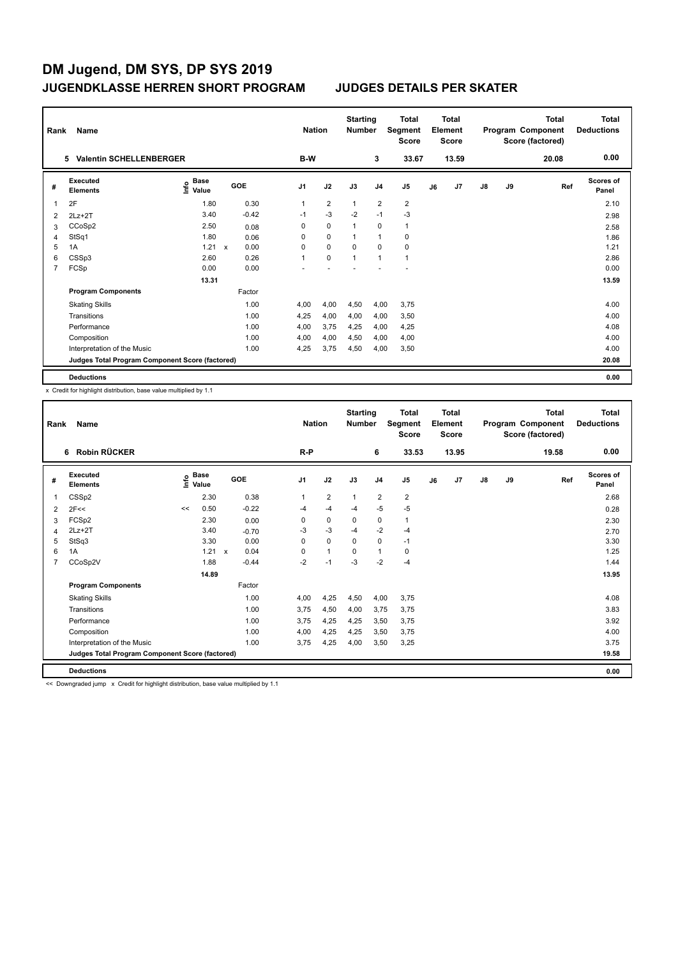| Rank           | Name                                            |                           | <b>Nation</b> |            |                | <b>Total</b><br>Segment<br><b>Score</b> | Total<br>Element<br><b>Score</b> |                |                |    | Total<br>Program Component<br>Score (factored) | <b>Total</b><br><b>Deductions</b> |    |     |                    |
|----------------|-------------------------------------------------|---------------------------|---------------|------------|----------------|-----------------------------------------|----------------------------------|----------------|----------------|----|------------------------------------------------|-----------------------------------|----|-----|--------------------|
|                | <b>Valentin SCHELLENBERGER</b><br>5.            |                           | B-W           |            | 3              | 33.67                                   | 13.59                            |                |                |    | 20.08                                          | 0.00                              |    |     |                    |
| #              | <b>Executed</b><br><b>Elements</b>              | Base<br>e Base<br>⊆ Value |               | <b>GOE</b> | J <sub>1</sub> | J2                                      | J3                               | J <sub>4</sub> | J <sub>5</sub> | J6 | J7                                             | $\mathsf{J}8$                     | J9 | Ref | Scores of<br>Panel |
| 1              | 2F                                              | 1.80                      |               | 0.30       | 1              | $\overline{2}$                          | $\mathbf{1}$                     | $\overline{2}$ | $\overline{2}$ |    |                                                |                                   |    |     | 2.10               |
| 2              | $2Lz+2T$                                        | 3.40                      |               | $-0.42$    | $-1$           | $-3$                                    | $-2$                             | $-1$           | $-3$           |    |                                                |                                   |    |     | 2.98               |
| 3              | CCoSp2                                          | 2.50                      |               | 0.08       | 0              | $\mathbf 0$                             | 1                                | $\mathbf 0$    | $\mathbf{1}$   |    |                                                |                                   |    |     | 2.58               |
| 4              | StSq1                                           | 1.80                      |               | 0.06       | 0              | $\mathbf 0$                             | 1                                | $\overline{1}$ | $\mathbf 0$    |    |                                                |                                   |    |     | 1.86               |
| 5              | 1A                                              | 1.21                      | $\mathsf{x}$  | 0.00       | 0              | $\mathbf 0$                             | $\mathbf 0$                      | $\mathbf 0$    | $\pmb{0}$      |    |                                                |                                   |    |     | 1.21               |
| 6              | CSSp3                                           | 2.60                      |               | 0.26       | 1              | $\Omega$                                | $\mathbf{1}$                     | $\overline{1}$ | $\mathbf{1}$   |    |                                                |                                   |    |     | 2.86               |
| $\overline{7}$ | FCSp                                            | 0.00                      |               | 0.00       |                |                                         |                                  |                |                |    |                                                |                                   |    |     | 0.00               |
|                |                                                 | 13.31                     |               |            |                |                                         |                                  |                |                |    |                                                |                                   |    |     | 13.59              |
|                | <b>Program Components</b>                       |                           |               | Factor     |                |                                         |                                  |                |                |    |                                                |                                   |    |     |                    |
|                | <b>Skating Skills</b>                           |                           |               | 1.00       | 4.00           | 4,00                                    | 4,50                             | 4,00           | 3,75           |    |                                                |                                   |    |     | 4.00               |
|                | Transitions                                     |                           |               | 1.00       | 4,25           | 4,00                                    | 4,00                             | 4,00           | 3,50           |    |                                                |                                   |    |     | 4.00               |
|                | Performance                                     |                           |               | 1.00       | 4,00           | 3,75                                    | 4,25                             | 4,00           | 4,25           |    |                                                |                                   |    |     | 4.08               |
|                | Composition                                     |                           |               | 1.00       | 4,00           | 4,00                                    | 4,50                             | 4,00           | 4,00           |    |                                                |                                   |    |     | 4.00               |
|                | Interpretation of the Music                     |                           |               | 1.00       | 4,25           | 3,75                                    | 4,50                             | 4,00           | 3,50           |    |                                                |                                   |    |     | 4.00               |
|                | Judges Total Program Component Score (factored) |                           |               |            |                |                                         |                                  |                |                |    |                                                |                                   |    |     | 20.08              |
|                | <b>Deductions</b>                               |                           |               |            |                |                                         |                                  |                |                |    |                                                |                                   |    |     | 0.00               |

x Credit for highlight distribution, base value multiplied by 1.1

| Rank | Name                                            |    |                                  |  |         |                |      | <b>Nation</b>  |              |                | <b>Total</b><br>Segment<br><b>Score</b> | Total<br>Element<br><b>Score</b> |                |               |    | Total<br>Program Component<br>Score (factored) | <b>Total</b><br><b>Deductions</b> |
|------|-------------------------------------------------|----|----------------------------------|--|---------|----------------|------|----------------|--------------|----------------|-----------------------------------------|----------------------------------|----------------|---------------|----|------------------------------------------------|-----------------------------------|
|      | <b>Robin RÜCKER</b><br>6                        |    |                                  |  |         | $R-P$          |      |                |              | 6              | 33.53                                   |                                  | 13.95          |               |    | 19.58                                          | 0.00                              |
| #    | <b>Executed</b><br><b>Elements</b>              |    | <b>Base</b><br>o Base<br>⊆ Value |  | GOE     | J <sub>1</sub> | J2   |                | J3           | J <sub>4</sub> | J5                                      | J6                               | J <sub>7</sub> | $\mathsf{J}8$ | J9 | Ref                                            | <b>Scores of</b><br>Panel         |
| 1    | CSSp2                                           |    | 2.30                             |  | 0.38    | 1              |      | $\overline{2}$ | $\mathbf{1}$ | $\overline{2}$ | $\overline{2}$                          |                                  |                |               |    |                                                | 2.68                              |
| 2    | 2F<<                                            | << | 0.50                             |  | $-0.22$ | $-4$           |      | $-4$           | $-4$         | $-5$           | $-5$                                    |                                  |                |               |    |                                                | 0.28                              |
| 3    | FCSp2                                           |    | 2.30                             |  | 0.00    | 0              |      | 0              | 0            | 0              | 1                                       |                                  |                |               |    |                                                | 2.30                              |
| 4    | $2Lz+2T$                                        |    | 3.40                             |  | $-0.70$ | $-3$           |      | $-3$           | $-4$         | $-2$           | $-4$                                    |                                  |                |               |    |                                                | 2.70                              |
| 5    | StSq3                                           |    | 3.30                             |  | 0.00    | $\Omega$       |      | $\Omega$       | $\Omega$     | $\mathbf 0$    | $-1$                                    |                                  |                |               |    |                                                | 3.30                              |
| 6    | 1A                                              |    | 1.21 x                           |  | 0.04    | $\Omega$       |      | 1              | $\Omega$     | $\mathbf{1}$   | 0                                       |                                  |                |               |    |                                                | 1.25                              |
| 7    | CCoSp2V                                         |    | 1.88                             |  | $-0.44$ | $-2$           | $-1$ |                | $-3$         | $-2$           | $-4$                                    |                                  |                |               |    |                                                | 1.44                              |
|      |                                                 |    | 14.89                            |  |         |                |      |                |              |                |                                         |                                  |                |               |    |                                                | 13.95                             |
|      | <b>Program Components</b>                       |    |                                  |  | Factor  |                |      |                |              |                |                                         |                                  |                |               |    |                                                |                                   |
|      | <b>Skating Skills</b>                           |    |                                  |  | 1.00    | 4.00           |      | 4,25           | 4,50         | 4,00           | 3.75                                    |                                  |                |               |    |                                                | 4.08                              |
|      | Transitions                                     |    |                                  |  | 1.00    | 3,75           |      | 4,50           | 4,00         | 3,75           | 3,75                                    |                                  |                |               |    |                                                | 3.83                              |
|      | Performance                                     |    |                                  |  | 1.00    | 3.75           |      | 4,25           | 4,25         | 3,50           | 3,75                                    |                                  |                |               |    |                                                | 3.92                              |
|      | Composition                                     |    |                                  |  | 1.00    | 4,00           |      | 4,25           | 4,25         | 3,50           | 3,75                                    |                                  |                |               |    |                                                | 4.00                              |
|      | Interpretation of the Music                     |    |                                  |  | 1.00    | 3,75           |      | 4,25           | 4,00         | 3,50           | 3,25                                    |                                  |                |               |    |                                                | 3.75                              |
|      | Judges Total Program Component Score (factored) |    |                                  |  |         |                |      |                |              |                |                                         |                                  |                |               |    |                                                | 19.58                             |
|      | <b>Deductions</b>                               |    |                                  |  |         |                |      |                |              |                |                                         |                                  |                |               |    |                                                | 0.00                              |

<< Downgraded jump x Credit for highlight distribution, base value multiplied by 1.1